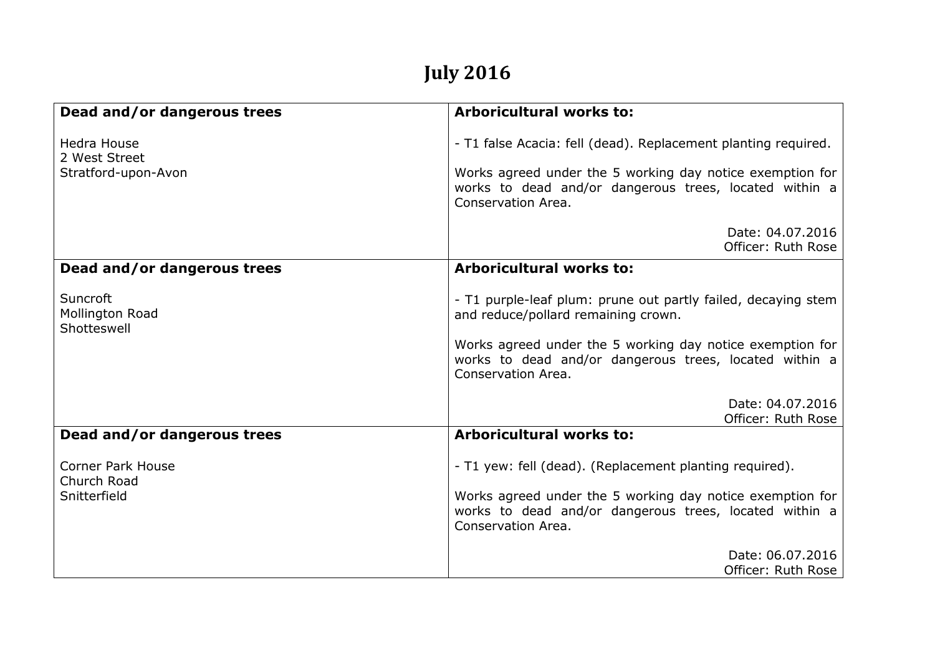## **July 2016**

| Dead and/or dangerous trees                                | <b>Arboricultural works to:</b>                                                                                                                                                                                                                   |
|------------------------------------------------------------|---------------------------------------------------------------------------------------------------------------------------------------------------------------------------------------------------------------------------------------------------|
| <b>Hedra House</b><br>2 West Street<br>Stratford-upon-Avon | - T1 false Acacia: fell (dead). Replacement planting required.<br>Works agreed under the 5 working day notice exemption for<br>works to dead and/or dangerous trees, located within a<br>Conservation Area.                                       |
|                                                            | Date: 04.07.2016<br>Officer: Ruth Rose                                                                                                                                                                                                            |
| Dead and/or dangerous trees                                | <b>Arboricultural works to:</b>                                                                                                                                                                                                                   |
| Suncroft<br>Mollington Road<br>Shotteswell                 | - T1 purple-leaf plum: prune out partly failed, decaying stem<br>and reduce/pollard remaining crown.<br>Works agreed under the 5 working day notice exemption for<br>works to dead and/or dangerous trees, located within a<br>Conservation Area. |
|                                                            | Date: 04.07.2016<br>Officer: Ruth Rose                                                                                                                                                                                                            |
| Dead and/or dangerous trees                                | <b>Arboricultural works to:</b>                                                                                                                                                                                                                   |
| <b>Corner Park House</b><br>Church Road<br>Snitterfield    | - T1 yew: fell (dead). (Replacement planting required).<br>Works agreed under the 5 working day notice exemption for<br>works to dead and/or dangerous trees, located within a<br>Conservation Area.                                              |
|                                                            | Date: 06.07.2016<br>Officer: Ruth Rose                                                                                                                                                                                                            |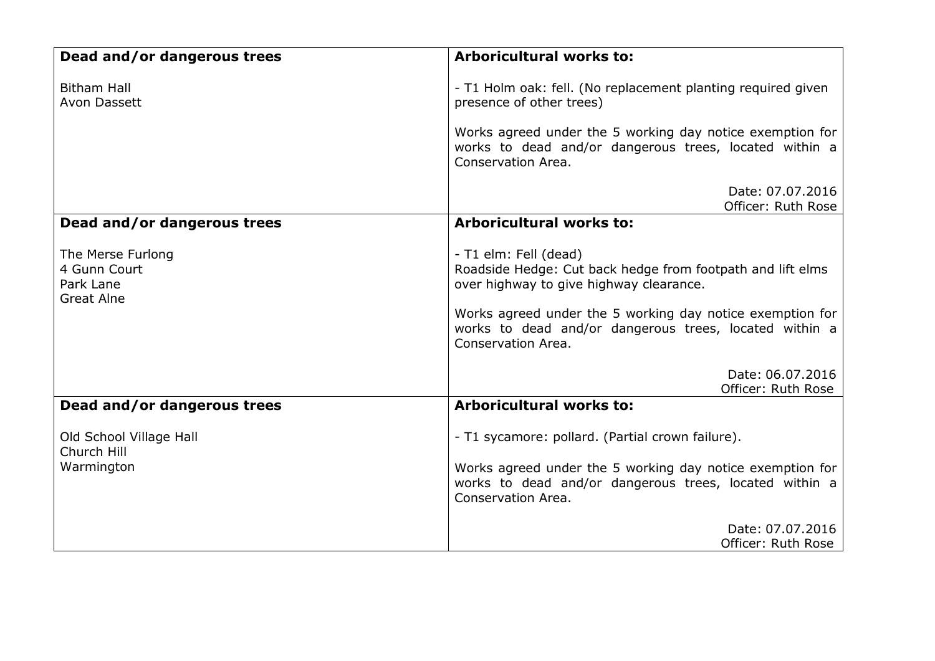| Dead and/or dangerous trees                                         | <b>Arboricultural works to:</b>                                                                                                                                                                                                                                             |
|---------------------------------------------------------------------|-----------------------------------------------------------------------------------------------------------------------------------------------------------------------------------------------------------------------------------------------------------------------------|
| <b>Bitham Hall</b><br>Avon Dassett                                  | - T1 Holm oak: fell. (No replacement planting required given<br>presence of other trees)<br>Works agreed under the 5 working day notice exemption for<br>works to dead and/or dangerous trees, located within a<br>Conservation Area.                                       |
|                                                                     | Date: 07.07.2016<br>Officer: Ruth Rose                                                                                                                                                                                                                                      |
| Dead and/or dangerous trees                                         | <b>Arboricultural works to:</b>                                                                                                                                                                                                                                             |
| The Merse Furlong<br>4 Gunn Court<br>Park Lane<br><b>Great Alne</b> | - T1 elm: Fell (dead)<br>Roadside Hedge: Cut back hedge from footpath and lift elms<br>over highway to give highway clearance.<br>Works agreed under the 5 working day notice exemption for<br>works to dead and/or dangerous trees, located within a<br>Conservation Area. |
|                                                                     | Date: 06.07.2016<br>Officer: Ruth Rose                                                                                                                                                                                                                                      |
| Dead and/or dangerous trees                                         | <b>Arboricultural works to:</b>                                                                                                                                                                                                                                             |
| Old School Village Hall<br>Church Hill<br>Warmington                | - T1 sycamore: pollard. (Partial crown failure).<br>Works agreed under the 5 working day notice exemption for<br>works to dead and/or dangerous trees, located within a                                                                                                     |
|                                                                     | Conservation Area.<br>Date: 07.07.2016                                                                                                                                                                                                                                      |
|                                                                     | Officer: Ruth Rose                                                                                                                                                                                                                                                          |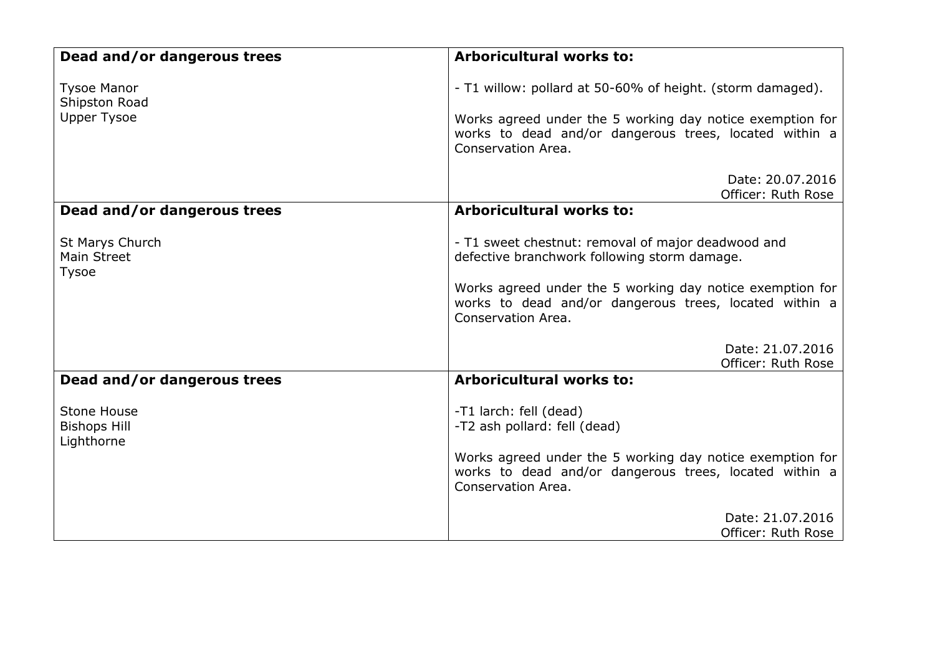| Dead and/or dangerous trees                      | <b>Arboricultural works to:</b>                                                                                                           |
|--------------------------------------------------|-------------------------------------------------------------------------------------------------------------------------------------------|
| <b>Tysoe Manor</b><br>Shipston Road              | - T1 willow: pollard at 50-60% of height. (storm damaged).                                                                                |
| <b>Upper Tysoe</b>                               | Works agreed under the 5 working day notice exemption for<br>works to dead and/or dangerous trees, located within a<br>Conservation Area. |
|                                                  | Date: 20.07.2016<br>Officer: Ruth Rose                                                                                                    |
| Dead and/or dangerous trees                      | <b>Arboricultural works to:</b>                                                                                                           |
| St Marys Church<br>Main Street<br><b>Tysoe</b>   | - T1 sweet chestnut: removal of major deadwood and<br>defective branchwork following storm damage.                                        |
|                                                  | Works agreed under the 5 working day notice exemption for<br>works to dead and/or dangerous trees, located within a<br>Conservation Area. |
|                                                  | Date: 21.07.2016<br>Officer: Ruth Rose                                                                                                    |
| Dead and/or dangerous trees                      | <b>Arboricultural works to:</b>                                                                                                           |
| Stone House<br><b>Bishops Hill</b><br>Lighthorne | -T1 larch: fell (dead)<br>-T2 ash pollard: fell (dead)                                                                                    |
|                                                  | Works agreed under the 5 working day notice exemption for<br>works to dead and/or dangerous trees, located within a<br>Conservation Area. |
|                                                  | Date: 21.07.2016<br>Officer: Ruth Rose                                                                                                    |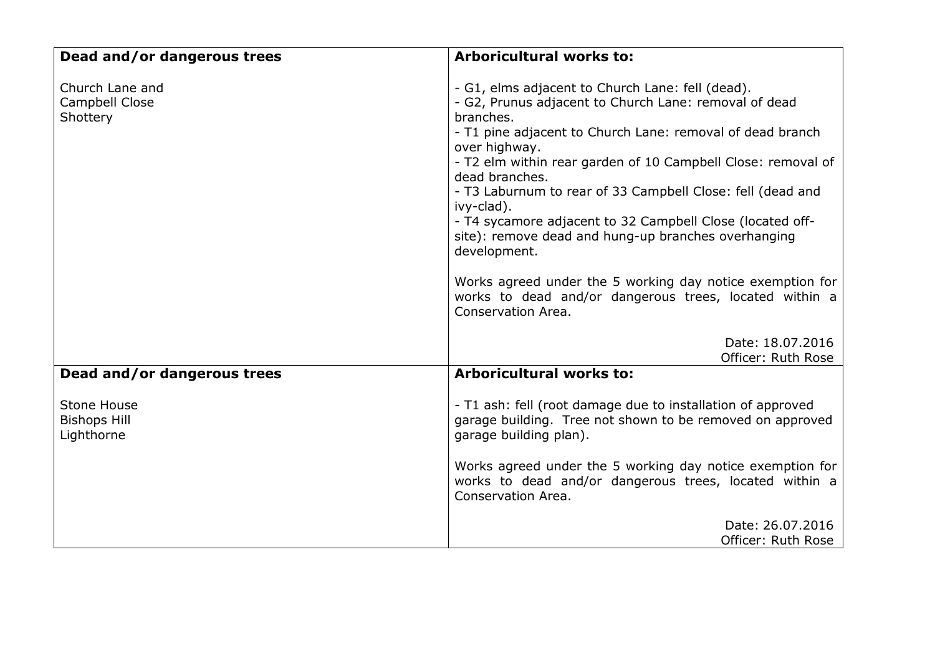| Dead and/or dangerous trees                      | <b>Arboricultural works to:</b>                                                                                                                                                                                                                                                                                                                                                                                                                                                                                                                                                                                                                     |
|--------------------------------------------------|-----------------------------------------------------------------------------------------------------------------------------------------------------------------------------------------------------------------------------------------------------------------------------------------------------------------------------------------------------------------------------------------------------------------------------------------------------------------------------------------------------------------------------------------------------------------------------------------------------------------------------------------------------|
| Church Lane and<br>Campbell Close<br>Shottery    | - G1, elms adjacent to Church Lane: fell (dead).<br>- G2, Prunus adjacent to Church Lane: removal of dead<br>branches.<br>- T1 pine adjacent to Church Lane: removal of dead branch<br>over highway.<br>- T2 elm within rear garden of 10 Campbell Close: removal of<br>dead branches.<br>- T3 Laburnum to rear of 33 Campbell Close: fell (dead and<br>ivy-clad).<br>- T4 sycamore adjacent to 32 Campbell Close (located off-<br>site): remove dead and hung-up branches overhanging<br>development.<br>Works agreed under the 5 working day notice exemption for<br>works to dead and/or dangerous trees, located within a<br>Conservation Area. |
|                                                  | Date: 18.07.2016<br>Officer: Ruth Rose                                                                                                                                                                                                                                                                                                                                                                                                                                                                                                                                                                                                              |
| Dead and/or dangerous trees                      | <b>Arboricultural works to:</b>                                                                                                                                                                                                                                                                                                                                                                                                                                                                                                                                                                                                                     |
| Stone House<br><b>Bishops Hill</b><br>Lighthorne | - T1 ash: fell (root damage due to installation of approved<br>garage building. Tree not shown to be removed on approved<br>garage building plan).                                                                                                                                                                                                                                                                                                                                                                                                                                                                                                  |
|                                                  | Works agreed under the 5 working day notice exemption for<br>works to dead and/or dangerous trees, located within a<br>Conservation Area.                                                                                                                                                                                                                                                                                                                                                                                                                                                                                                           |
|                                                  | Date: 26.07.2016<br>Officer: Ruth Rose                                                                                                                                                                                                                                                                                                                                                                                                                                                                                                                                                                                                              |